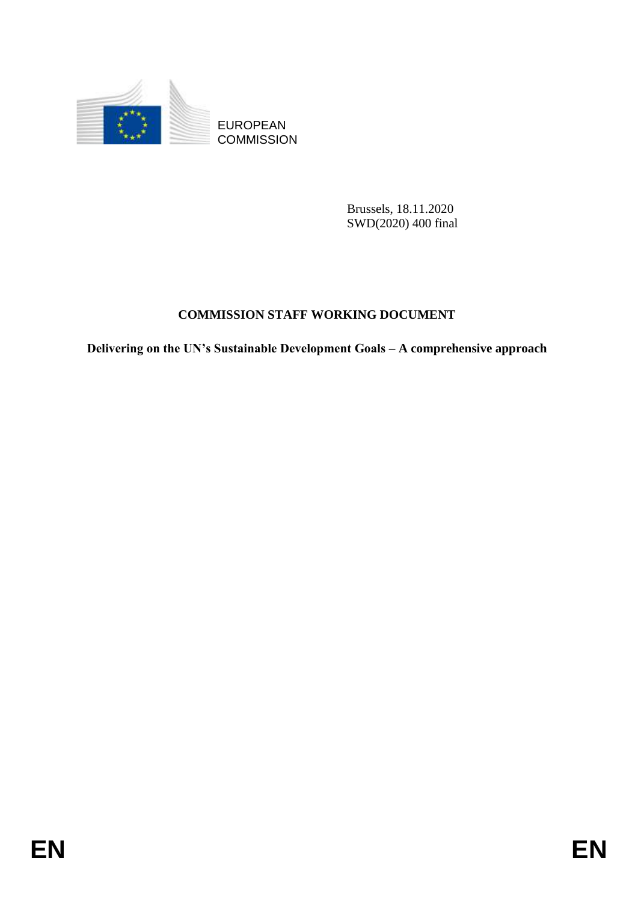

**COMMISSION** 

Brussels, 18.11.2020 SWD(2020) 400 final

# **COMMISSION STAFF WORKING DOCUMENT**

EUROPEAN<br>
EUROPEAN<br>
ENVERSION<br>
BRussls, 18.11.2020<br>
SWYS2202 400 Jana<br>
COMMISSION STAFF WORKING DOCUMENT<br>
Delivering on the UV's Sustainable Development Goals – A comprehensive approach<br>
FN<br>
EN **Delivering on the UN's Sustainable Development Goals – A comprehensive approach**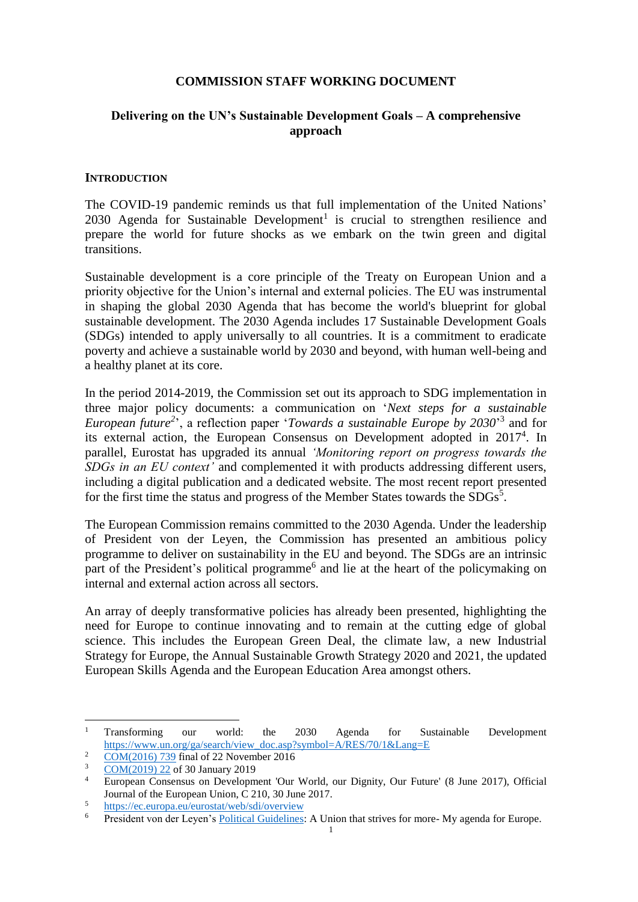### **COMMISSION STAFF WORKING DOCUMENT**

# **Delivering on the UN's Sustainable Development Goals – A comprehensive approach**

#### **INTRODUCTION**

The COVID-19 pandemic reminds us that full implementation of the United Nations' 2030 Agenda for Sustainable Development<sup>1</sup> is crucial to strengthen resilience and prepare the world for future shocks as we embark on the twin green and digital transitions.

Sustainable development is a core principle of the Treaty on European Union and a priority objective for the Union's internal and external policies. The EU was instrumental in shaping the global 2030 Agenda that has become the world's blueprint for global sustainable development. The 2030 Agenda includes 17 Sustainable Development Goals (SDGs) intended to apply universally to all countries. It is a commitment to eradicate poverty and achieve a sustainable world by 2030 and beyond, with human well-being and a healthy planet at its core.

In the period 2014-2019, the Commission set out its approach to SDG implementation in three major policy documents: a communication on '*Next steps for a sustainable*  European future<sup>2</sup>, a reflection paper '*Towards a sustainable Europe by 2030*<sup>3</sup> and for its external action, the European Consensus on Development adopted in 2017<sup>4</sup>. In parallel, Eurostat has upgraded its annual *'Monitoring report on progress towards the SDGs in an EU context'* and complemented it with products addressing different users, including a digital publication and a dedicated website. The most recent report presented for the first time the status and progress of the Member States towards the  $SDGs^5$ .

The European Commission remains committed to the 2030 Agenda. Under the leadership of President von der Leyen, the Commission has presented an ambitious policy programme to deliver on sustainability in the EU and beyond. The SDGs are an intrinsic part of the President's political programme<sup>6</sup> and lie at the heart of the policymaking on internal and external action across all sectors.

An array of deeply transformative policies has already been presented, highlighting the need for Europe to continue innovating and to remain at the cutting edge of global science. This includes the European Green Deal, the climate law, a new Industrial Strategy for Europe, the Annual Sustainable Growth Strategy 2020 and 2021, the updated European Skills Agenda and the European Education Area amongst others.

<sup>&</sup>lt;sup>1</sup> Transforming our world: the 2030 Agenda for Sustainable Development [https://www.un.org/ga/search/view\\_doc.asp?symbol=A/RES/70/1&Lang=E](https://www.un.org/ga/search/view_doc.asp?symbol=A/RES/70/1&Lang=E)

 $\frac{2}{3}$  [COM\(2016\) 739](https://eur-lex.europa.eu/legal-content/EN/TXT/HTML/?uri=CELEX:52016DC0739&from=EN) final of 22 November 2016

 $rac{3}{4}$  [COM\(2019\) 22](https://ec.europa.eu/transparency/regdoc/rep/1/2019/EN/COM-2019-22-F1-EN-MAIN-PART-1.PDF) of 30 January 2019

<sup>4</sup> European Consensus on Development 'Our World, our Dignity, Our Future' (8 June 2017), Official Journal of the European Union, C 210, 30 June 2017.

 $\frac{5}{2}$  <https://ec.europa.eu/eurostat/web/sdi/overview>

<sup>6</sup> President von der Leyen's [Political Guidelines:](https://ec.europa.eu/commission/sites/beta-political/files/political-guidelines-next-commission_en.pdf) A Union that strives for more- My agenda for Europe.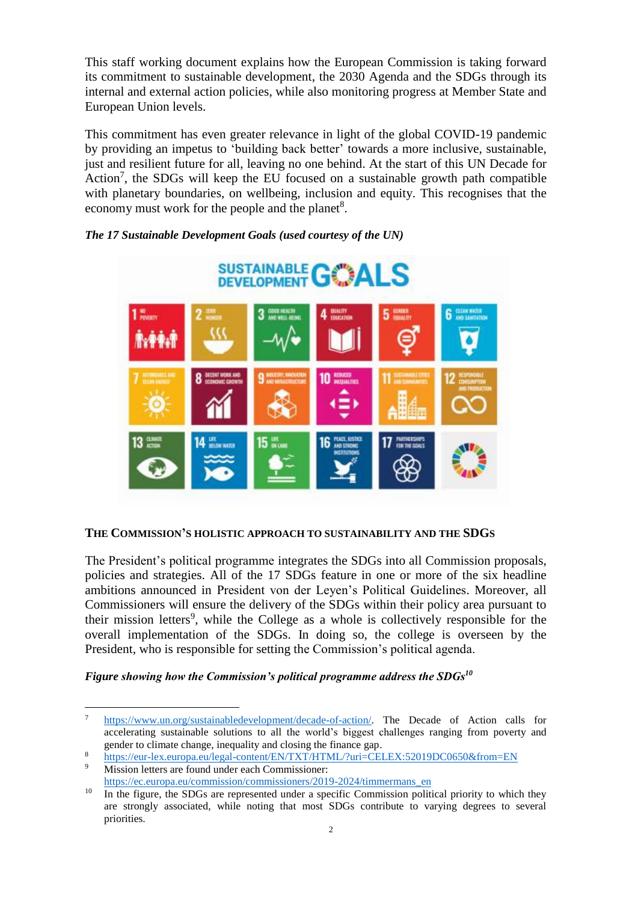This staff working document explains how the European Commission is taking forward its commitment to sustainable development, the 2030 Agenda and the SDGs through its internal and external action policies, while also monitoring progress at Member State and European Union levels.

This commitment has even greater relevance in light of the global COVID-19 pandemic by providing an impetus to 'building back better' towards a more inclusive, sustainable, just and resilient future for all, leaving no one behind. At the start of this UN Decade for Action<sup>7</sup>, the SDGs will keep the EU focused on a sustainable growth path compatible with planetary boundaries, on wellbeing, inclusion and equity. This recognises that the economy must work for the people and the planet<sup>8</sup>.



### *The 17 Sustainable Development Goals (used courtesy of the UN)*

### **THE COMMISSION'S HOLISTIC APPROACH TO SUSTAINABILITY AND THE SDGS**

The President's political programme integrates the SDGs into all Commission proposals, policies and strategies. All of the 17 SDGs feature in one or more of the six headline ambitions announced in President von der Leyen's Political Guidelines. Moreover, all Commissioners will ensure the delivery of the SDGs within their policy area pursuant to their mission letters<sup>9</sup>, while the College as a whole is collectively responsible for the overall implementation of the SDGs. In doing so, the college is overseen by the President, who is responsible for setting the Commission's political agenda.

#### *Figure showing how the Commission's political programme address the SDGs<sup>10</sup>*

<sup>7</sup> [https://www.un.org/sustainabledevelopment/decade-of-action/.](https://www.un.org/sustainabledevelopment/decade-of-action/) The Decade of Action calls for accelerating sustainable solutions to all the world's biggest challenges ranging from poverty and gender to climate change, inequality and closing the finance gap.

<sup>8</sup> <https://eur-lex.europa.eu/legal-content/EN/TXT/HTML/?uri=CELEX:52019DC0650&from=EN>

Mission letters are found under each Commissioner: [https://ec.europa.eu/commission/commissioners/2019-2024/timmermans\\_en](https://ec.europa.eu/commission/commissioners/2019-2024/timmermans_en)

 $10\quad$  In the figure, the SDGs are represented under a specific Commission political priority to which they are strongly associated, while noting that most SDGs contribute to varying degrees to several priorities.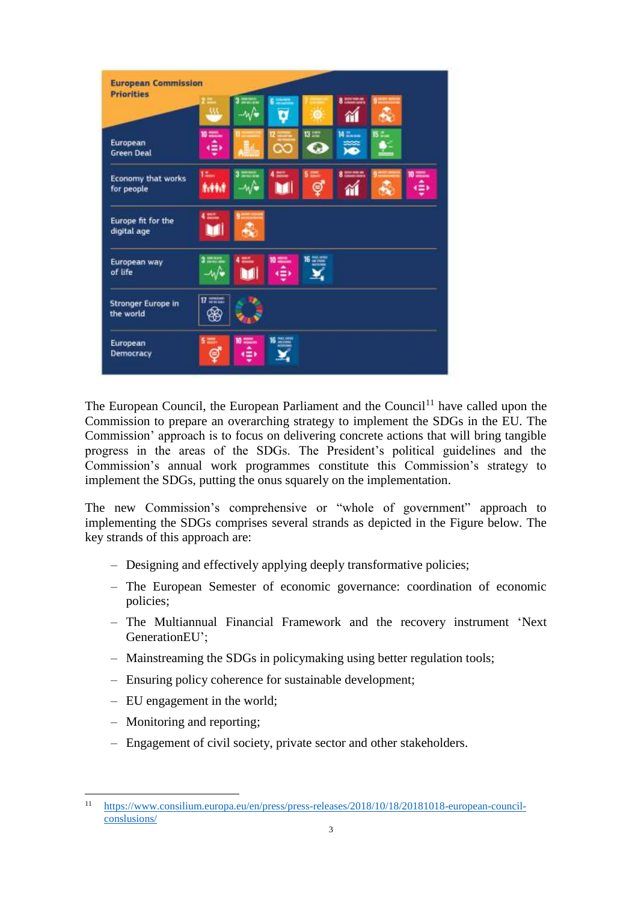| <b>European Commission</b><br><b>Priorities</b> |                                  |                         |                            |               |                        |                        |              |
|-------------------------------------------------|----------------------------------|-------------------------|----------------------------|---------------|------------------------|------------------------|--------------|
|                                                 | 322                              | ==                      | <b>GREEK</b><br>Ø          |               | <b>8 Marie 19</b><br>衜 | <b>Q NAME AND</b><br>Æ |              |
| European<br><b>Green Deal</b>                   | 10 ====<br>ا⊕                    |                         | ೧೦                         | $13 = 7$<br>O | 14 Tansas<br><b>XO</b> | 15 C.<br><b>AP</b>     |              |
| Economy that works<br>for people                | $12 -$<br>8,44,8                 | $3 = 3$                 | $4 \frac{1000}{1000}$<br>M | $5 =$<br>ඉ්   | 8 million<br>11        |                        | 10 0000<br>٠ |
| Europe fit for the<br>digital age               | 4 出土<br>M                        | $***$<br>Æ,             |                            |               |                        |                        |              |
| European way<br>of life                         | 3.2222<br>–∿/•                   | $4 \equiv 7$<br>M       | $10 = -$<br>٠ê٠            | $16 - 16$     |                        |                        |              |
| Stronger Europe in<br>the world                 | $\overline{\mathbf{u}}$ and<br>æ |                         |                            |               |                        |                        |              |
| European<br><b>Democracy</b>                    | $5 =$<br>Ş                       | <b>10 States</b><br>۱€۱ | $16 \frac{m}{20000}$       |               |                        |                        |              |

The European Council, the European Parliament and the Council<sup>11</sup> have called upon the Commission to prepare an overarching strategy to implement the SDGs in the EU. The Commission' approach is to focus on delivering concrete actions that will bring tangible progress in the areas of the SDGs. The President's political guidelines and the Commission's annual work programmes constitute this Commission's strategy to implement the SDGs, putting the onus squarely on the implementation.

The new Commission's comprehensive or "whole of government" approach to implementing the SDGs comprises several strands as depicted in the Figure below. The key strands of this approach are:

- Designing and effectively applying deeply transformative policies;
- The European Semester of economic governance: coordination of economic policies;
- The Multiannual Financial Framework and the recovery instrument 'Next GenerationEU';
- Mainstreaming the SDGs in policymaking using better regulation tools;
- Ensuring policy coherence for sustainable development;
- EU engagement in the world;
- Monitoring and reporting;

 $\overline{a}$ 

– Engagement of civil society, private sector and other stakeholders.

<sup>11</sup> [https://www.consilium.europa.eu/en/press/press-releases/2018/10/18/20181018-european-council](https://www.consilium.europa.eu/en/press/press-releases/2018/10/18/20181018-european-council-conslusions/)[conslusions/](https://www.consilium.europa.eu/en/press/press-releases/2018/10/18/20181018-european-council-conslusions/)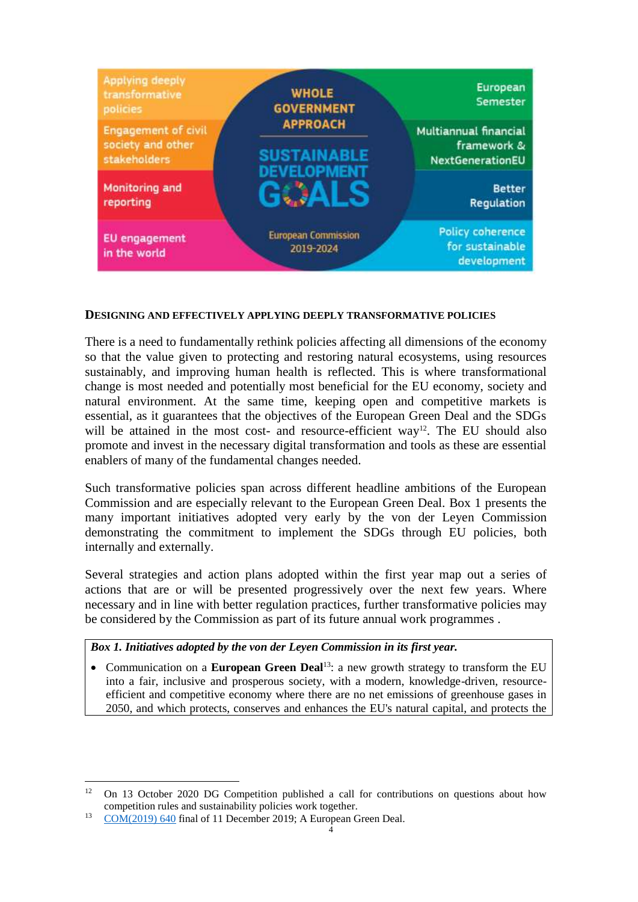

#### **DESIGNING AND EFFECTIVELY APPLYING DEEPLY TRANSFORMATIVE POLICIES**

There is a need to fundamentally rethink policies affecting all dimensions of the economy so that the value given to protecting and restoring natural ecosystems, using resources sustainably, and improving human health is reflected. This is where transformational change is most needed and potentially most beneficial for the EU economy, society and natural environment. At the same time, keeping open and competitive markets is essential, as it guarantees that the objectives of the European Green Deal and the SDGs will be attained in the most cost- and resource-efficient way<sup>12</sup>. The EU should also promote and invest in the necessary digital transformation and tools as these are essential enablers of many of the fundamental changes needed.

Such transformative policies span across different headline ambitions of the European Commission and are especially relevant to the European Green Deal. Box 1 presents the many important initiatives adopted very early by the von der Leyen Commission demonstrating the commitment to implement the SDGs through EU policies, both internally and externally.

Several strategies and action plans adopted within the first year map out a series of actions that are or will be presented progressively over the next few years. Where necessary and in line with better regulation practices, further transformative policies may be considered by the Commission as part of its future annual work programmes .

*Box 1. Initiatives adopted by the von der Leyen Commission in its first year.*

• Communication on a **European Green Deal**<sup>13</sup>: a new growth strategy to transform the EU into a fair, inclusive and prosperous society, with a modern, knowledge-driven, resourceefficient and competitive economy where there are no net emissions of greenhouse gases in 2050, and which protects, conserves and enhances the EU's natural capital, and protects the

 $12$ <sup>12</sup> On 13 October 2020 DG Competition published a call for contributions on questions about how competition rules and sustainability policies work together.

<sup>&</sup>lt;sup>13</sup> [COM\(2019\) 640](https://ec.europa.eu/info/sites/info/files/european-green-deal-communication_en.pdf) final of 11 December 2019; A European Green Deal.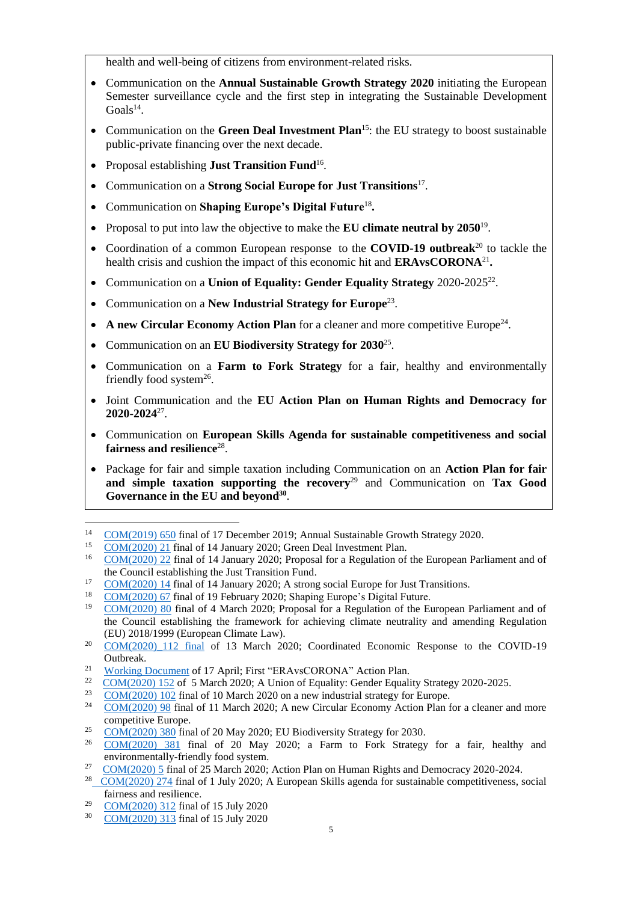health and well-being of citizens from environment-related risks.

- Communication on the **Annual Sustainable Growth Strategy 2020** initiating the European Semester surveillance cycle and the first step in integrating the Sustainable Development  $Goals<sup>14</sup>$ .
- Communication on the **Green Deal Investment Plan**<sup>15</sup>: the EU strategy to boost sustainable public-private financing over the next decade.
- Proposal establishing **Just Transition Fund**<sup>16</sup>.
- Communication on a **Strong Social Europe for Just Transitions**<sup>17</sup> .
- Communication on **Shaping Europe's Digital Future**<sup>18</sup> **.**
- Proposal to put into law the objective to make the **EU climate neutral by 2050**<sup>19</sup>.
- Coordination of a [common European response](https://ec.europa.eu/info/live-work-travel-eu/health/coronavirus-response/overview-commissions-response_en) to the **COVID-19 outbreak**<sup>20</sup> to tackle the health crisis and cushion the impact of this economic hit and **ERAvsCORONA**<sup>21</sup> **.**
- Communication on a Union of Equality: Gender Equality Strategy 2020-2025<sup>22</sup>.
- Communication on a New Industrial Strategy for Europe<sup>23</sup>.
- A new Circular Economy Action Plan for a cleaner and more competitive Europe<sup>24</sup>.
- Communication on an **EU Biodiversity Strategy for 2030**<sup>25</sup> .
- Communication on a **Farm to Fork Strategy** for a fair, healthy and environmentally friendly food system<sup>26</sup>.
- Joint Communication and the **EU Action Plan on Human Rights and Democracy for 2020-2024**<sup>27</sup> .
- Communication on **European Skills Agenda for sustainable competitiveness and social**  fairness and resilience<sup>28</sup>.
- Package for fair and simple taxation including Communication on an **Action Plan for fair and simple taxation supporting the recovery**<sup>29</sup> and Communication on **Tax Good Governance in the EU and beyond<sup>30</sup>** .

<sup>29</sup> [COM\(2020\) 312](https://ec.europa.eu/taxation_customs/sites/taxation/files/2020_tax_package_tax_action_plan_en.pdf) final of 15 July 2020

<sup>&</sup>lt;sup>14</sup> [COM\(2019\) 650](https://eur-lex.europa.eu/legal-content/EN/TXT/?qid=1578392227719&uri=CELEX%3A52019DC0650) final of 17 December 2019; Annual Sustainable Growth Strategy 2020.<br>
<sup>15</sup> COM(2020) 21 final of 14 January 2020; Green Deal Investment Plan

[COM\(2020\) 21](file:///C:/Users/bartkjo/AppData/Local/Packages/Microsoft.MicrosoftEdge_8wekyb3d8bbwe/TempState/Downloads/Commission_Communication_on_the_European_Green_Deal_Investment_Plan_EN.pdf%20(1).pdf) final of 14 January 2020; Green Deal Investment Plan.

<sup>&</sup>lt;sup>16</sup> [COM\(2020\) 22](https://eur-lex.europa.eu/legal-content/EN/TXT/?uri=CELEX%3A52020PC0022) final of 14 January 2020; Proposal for a Regulation of the European Parliament and of the Council establishing the Just Transition Fund.

<sup>&</sup>lt;sup>17</sup> [COM\(2020\) 14](https://ec.europa.eu/commission/presscorner/detail/en/fs_20_49) final of 14 January 2020; A strong social Europe for Just Transitions.

<sup>&</sup>lt;sup>18</sup> [COM\(2020\) 67](https://ec.europa.eu/info/sites/info/files/communication-shaping-europes-digital-future-feb2020_en_3.pdf) final of 19 February 2020; Shaping Europe's Digital Future.

<sup>19</sup> [COM\(2020\) 80](https://eur-lex.europa.eu/legal-content/EN/TXT/?qid=1588581905912&uri=CELEX:52020PC0080) final of 4 March 2020; Proposal for a Regulation of the European Parliament and of the Council establishing the framework for achieving climate neutrality and amending Regulation (EU) 2018/1999 (European Climate Law).

<sup>&</sup>lt;sup>20</sup> [COM\(2020\)\\_112](https://ec.europa.eu/info/sites/info/files/communication-coordinated-economic-response-covid19-march-2020_en.pdf) final of 13 March 2020; Coordinated Economic Response to the COVID-19 Outbreak.

<sup>21</sup> [Working Document](https://ec.europa.eu/info/sites/info/files/research_and_innovation/research_by_area/documents/ec_rtd_era-vs-corona_0.pdf) of 17 April; First "ERAvsCORONA" Action Plan.

<sup>22</sup> [COM\(2020\) 152](https://eur-lex.europa.eu/legal-content/EN/TXT/?uri=CELEX%3A52020DC0152) of 5 March 2020; A Union of Equality: Gender Equality Strategy 2020-2025.

<sup>&</sup>lt;sup>23</sup> [COM\(2020\) 102](https://eur-lex.europa.eu/legal-content/EN/TXT/?qid=1593086905382&uri=CELEX%3A52020DC0102) final of 10 March 2020 on a new industrial strategy for Europe.

<sup>&</sup>lt;sup>24</sup> [COM\(2020\) 98](https://eur-lex.europa.eu/legal-content/EN/TXT/?qid=1583933814386&uri=COM:2020:98:FIN) final of 11 March 2020; A new Circular Economy Action Plan for a cleaner and more competitive Europe.

<sup>&</sup>lt;sup>25</sup> [COM\(2020\) 380](https://eur-lex.europa.eu/legal-content/EN/TXT/?qid=1590574123338&uri=CELEX%3A52020DC0380) final of 20 May 2020; EU Biodiversity Strategy for 2030.<br>
<sup>26</sup> COM(2020) <sup>281</sup> final of 20 May 2020; a Farm to Fork Strategy

<sup>26</sup> [COM\(2020\) 381](https://eur-lex.europa.eu/legal-content/EN/TXT/?qid=1590404602495&uri=CELEX%3A52020DC0381) final of 20 May 2020; a Farm to Fork Strategy for a fair, healthy and environmentally-friendly food system.

<sup>27</sup> [COM\(2020\) 5](https://eur-lex.europa.eu/legal-content/EN/TXT/?uri=JOIN:2020:5:FIN) final of 25 March 2020; Action Plan on Human Rights and Democracy 2020-2024.

<sup>&</sup>lt;sup>28</sup> COM(2020) 274 final of 1 July 2020; A European Skills agenda for sustainable competitiveness, social fairness and resilience.

<sup>30</sup> [COM\(2020\) 313](https://ec.europa.eu/taxation_customs/sites/taxation/files/2020_tax_package_tax_good_governance_communication_en.pdf) final of 15 July 2020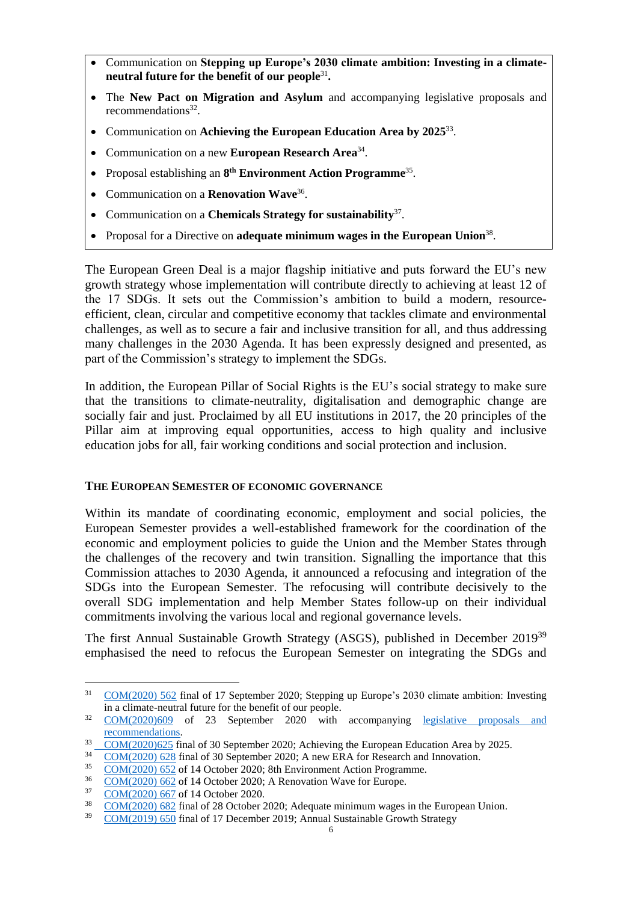- Communication on **Stepping up Europe's 2030 climate ambition: Investing in a climateneutral future for the benefit of our people**<sup>31</sup> **.**
- The **New Pact on Migration and Asylum** and accompanying legislative proposals and recommendations<sup>32</sup>.
- Communication on **Achieving the European Education Area by 2025**<sup>33</sup> .
- Communication on a new **European Research Area**<sup>34</sup> .
- Proposal establishing an 8<sup>th</sup> Environment Action Programme<sup>35</sup>.
- Communication on a **Renovation Wave**<sup>36</sup> .
- Communication on a **Chemicals Strategy for sustainability**<sup>37</sup> .
- Proposal for a Directive on **adequate minimum wages in the European Union**<sup>38</sup>.

The European Green Deal is a major flagship initiative and puts forward the EU's new growth strategy whose implementation will contribute directly to achieving at least 12 of the 17 SDGs. It sets out the Commission's ambition to build a modern, resourceefficient, clean, circular and competitive economy that tackles climate and environmental challenges, as well as to secure a fair and inclusive transition for all, and thus addressing many challenges in the 2030 Agenda. It has been expressly designed and presented, as part of the Commission's strategy to implement the SDGs.

In addition, the European Pillar of Social Rights is the EU's social strategy to make sure that the transitions to climate-neutrality, digitalisation and demographic change are socially fair and just. Proclaimed by all EU institutions in 2017, the 20 principles of the Pillar aim at improving equal opportunities, access to high quality and inclusive education jobs for all, fair working conditions and social protection and inclusion.

### **THE EUROPEAN SEMESTER OF ECONOMIC GOVERNANCE**

Within its mandate of coordinating economic, employment and social policies, the European Semester provides a well-established framework for the coordination of the economic and employment policies to guide the Union and the Member States through the challenges of the recovery and twin transition. Signalling the importance that this Commission attaches to 2030 Agenda, it announced a refocusing and integration of the SDGs into the European Semester. The refocusing will contribute decisively to the overall SDG implementation and help Member States follow-up on their individual commitments involving the various local and regional governance levels.

The first Annual Sustainable Growth Strategy (ASGS), published in December 2019<sup>39</sup> emphasised the need to refocus the European Semester on integrating the SDGs and

<sup>&</sup>lt;sup>31</sup> [COM\(2020\) 562](https://ec.europa.eu/clima/sites/clima/files/eu-climate-action/docs/com_2030_ctp_en.pdf) final of 17 September 2020; Stepping up Europe's 2030 climate ambition: Investing in a climate-neutral future for the benefit of our people.

<sup>&</sup>lt;sup>32</sup> [COM\(2020\)609](https://eur-lex.europa.eu/legal-content/EN/TXT/?qid=1601287338054&uri=COM%3A2020%3A609%3AFIN) of 23 September 2020 with accompanying legislative proposals and [recommendations.](https://ec.europa.eu/info/publications/migration-and-asylum-package-new-pact-migration-and-asylum-documents-adopted-23-september-2020_en)

 $\frac{33}{24}$  [COM\(2020\)625](https://ec.europa.eu/education/sites/education/files/document-library-docs/eea-communication-sept2020_en.pdf) final of 30 September 2020; Achieving the European Education Area by 2025.

 $\frac{34}{35}$  [COM\(2020\) 628](https://eur-lex.europa.eu/legal-content/EN/TXT/?uri=COM:2020:628:FIN) final of 30 September 2020; A new ERA for Research and Innovation.<br> $\frac{35}{35}$  COM(2020) 652 of 14 October 2020; 8th Environment Action Programme.

<sup>35</sup> [COM\(2020\) 652](https://eur-lex.europa.eu/legal-content/EN/TXT/PDF/?uri=COM:2020:652:FIN&rid=4) of 14 October 2020; 8th Environment Action Programme.

 $\frac{36}{37}$  [COM\(2020\) 662](https://eur-lex.europa.eu/legal-content/EN/TXT/HTML/?uri=CELEX:52020DC0662&from=FR) of 14 October 2020; A Renovation Wave for Europe.<br> $\frac{37}{37}$  COM(2020) 667 of 14 October 2020.

<sup>37</sup> [COM\(2020\) 667](https://eur-lex.europa.eu/legal-content/EN/TXT/HTML/?uri=CELEX:52020DC0667&from=EN) of 14 October 2020.

<sup>38</sup> [COM\(2020\) 682](https://eur-lex.europa.eu/legal-content/EN/TXT/PDF/?uri=CELEX:52020PC0682&from=EN) final of 28 October 2020; Adequate minimum wages in the European Union.

<sup>&</sup>lt;sup>39</sup> [COM\(2019\) 650](https://ec.europa.eu/info/sites/info/files/2020-european-semester-annual-sustainable-growth-strategy_en.pdf) final of 17 December 2019; Annual Sustainable Growth Strategy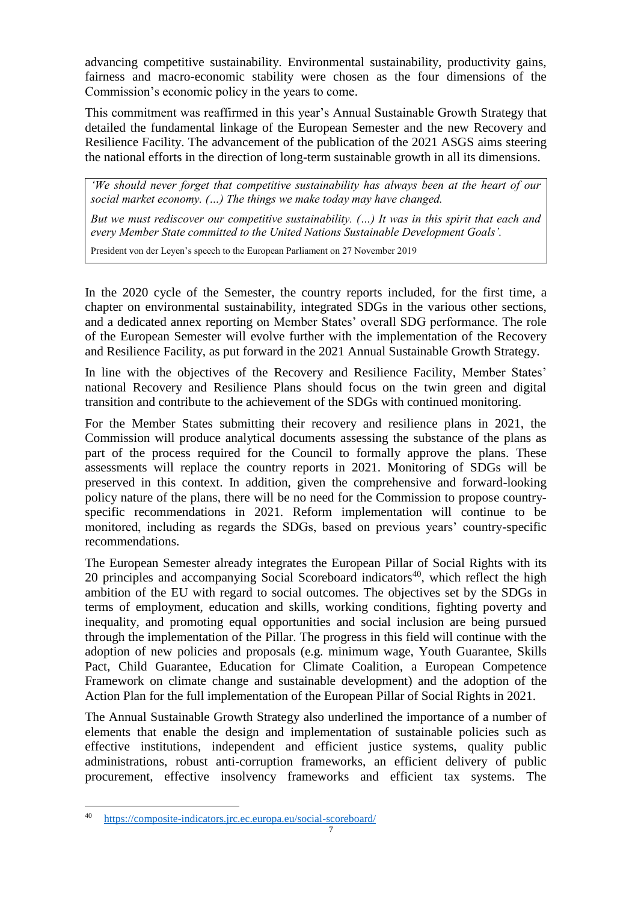advancing competitive sustainability. Environmental sustainability, productivity gains, fairness and macro-economic stability were chosen as the four dimensions of the Commission's economic policy in the years to come.

This commitment was reaffirmed in this year's Annual Sustainable Growth Strategy that detailed the fundamental linkage of the European Semester and the new Recovery and Resilience Facility. The advancement of the publication of the 2021 ASGS aims steering the national efforts in the direction of long-term sustainable growth in all its dimensions.

*'We should never forget that competitive sustainability has always been at the heart of our social market economy. (…) The things we make today may have changed.* 

*But we must rediscover our competitive sustainability. (…) It was in this spirit that each and every Member State committed to the United Nations Sustainable Development Goals'.*

President von der Leyen's speech to the European Parliament on 27 November 2019

In the 2020 cycle of the Semester, the country reports included, for the first time, a chapter on environmental sustainability, integrated SDGs in the various other sections, and a dedicated annex reporting on Member States' overall SDG performance. The role of the European Semester will evolve further with the implementation of the Recovery and Resilience Facility, as put forward in the 2021 Annual Sustainable Growth Strategy.

In line with the objectives of the Recovery and Resilience Facility, Member States' national Recovery and Resilience Plans should focus on the twin green and digital transition and contribute to the achievement of the SDGs with continued monitoring.

For the Member States submitting their recovery and resilience plans in 2021, the Commission will produce analytical documents assessing the substance of the plans as part of the process required for the Council to formally approve the plans. These assessments will replace the country reports in 2021. Monitoring of SDGs will be preserved in this context. In addition, given the comprehensive and forward-looking policy nature of the plans, there will be no need for the Commission to propose countryspecific recommendations in 2021. Reform implementation will continue to be monitored, including as regards the SDGs, based on previous years' country-specific recommendations.

The European Semester already integrates the European Pillar of Social Rights with its 20 principles and accompanying Social Scoreboard indicators<sup>40</sup>, which reflect the high ambition of the EU with regard to social outcomes. The objectives set by the SDGs in terms of employment, education and skills, working conditions, fighting poverty and inequality, and promoting equal opportunities and social inclusion are being pursued through the implementation of the Pillar. The progress in this field will continue with the adoption of new policies and proposals (e.g. minimum wage, Youth Guarantee, Skills Pact, Child Guarantee, Education for Climate Coalition, a European Competence Framework on climate change and sustainable development) and the adoption of the Action Plan for the full implementation of the European Pillar of Social Rights in 2021.

The Annual Sustainable Growth Strategy also underlined the importance of a number of elements that enable the design and implementation of sustainable policies such as effective institutions, independent and efficient justice systems, quality public administrations, robust anti-corruption frameworks, an efficient delivery of public procurement, effective insolvency frameworks and efficient tax systems. The

<sup>40</sup> <https://composite-indicators.jrc.ec.europa.eu/social-scoreboard/>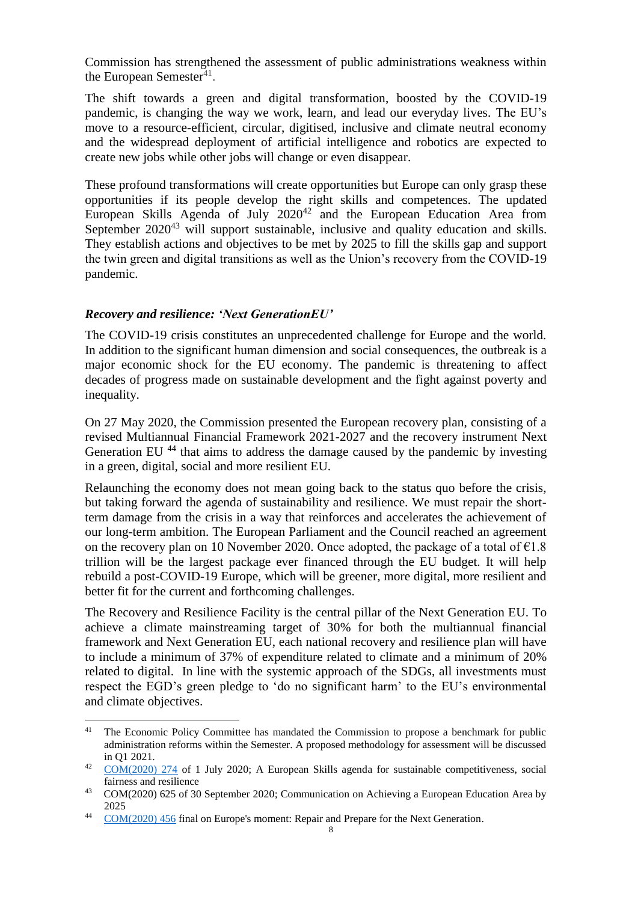Commission has strengthened the assessment of public administrations weakness within the European Semester<sup>41</sup>.

The shift towards a green and digital transformation, boosted by the COVID-19 pandemic, is changing the way we work, learn, and lead our everyday lives. The EU's move to a resource-efficient, circular, digitised, inclusive and climate neutral economy and the widespread deployment of artificial intelligence and robotics are expected to create new jobs while other jobs will change or even disappear.

These profound transformations will create opportunities but Europe can only grasp these opportunities if its people develop the right skills and competences. The updated European Skills Agenda of July 2020<sup>42</sup> and the European Education Area from September 2020<sup>43</sup> will support sustainable, inclusive and quality education and skills. They establish actions and objectives to be met by 2025 to fill the skills gap and support the twin green and digital transitions as well as the Union's recovery from the COVID-19 pandemic.

### *Recovery and resilience: 'Next GenerationEU'*

 $\overline{a}$ 

The COVID-19 crisis constitutes an unprecedented challenge for Europe and the world. In addition to the significant human dimension and social consequences, the outbreak is a major economic shock for the EU economy. The pandemic is threatening to affect decades of progress made on sustainable development and the fight against poverty and inequality.

On 27 May 2020, the Commission presented the European recovery plan, consisting of a revised Multiannual Financial Framework 2021-2027 and the recovery instrument [Next](https://ec.europa.eu/commission/presscorner/detail/en/ip_20_940)  Generation EU<sup>44</sup> that aims to address the damage caused by the pandemic by investing in a green, digital, social and more resilient EU.

Relaunching the economy does not mean going back to the status quo before the crisis, but taking forward the agenda of sustainability and resilience. We must repair the shortterm damage from the crisis in a way that reinforces and accelerates the achievement of our long-term ambition. The European Parliament and the Council reached an agreement on the recovery plan on 10 November 2020. Once adopted, the package of a total of  $\epsilon$ 1.8 trillion will be the largest package ever financed through the EU budget. It will help rebuild a post-COVID-19 Europe, which will be greener, more digital, more resilient and better fit for the current and forthcoming challenges.

The Recovery and Resilience Facility is the central pillar of the Next Generation EU. To achieve a climate mainstreaming target of 30% for both the multiannual financial framework and Next Generation EU, each national recovery and resilience plan will have to include a minimum of 37% of expenditure related to climate and a minimum of 20% related to digital. In line with the systemic approach of the SDGs, all investments must respect the EGD's green pledge to 'do no significant harm' to the EU's environmental and climate objectives.

<sup>&</sup>lt;sup>41</sup> The Economic Policy Committee has mandated the Commission to propose a benchmark for public administration reforms within the Semester. A proposed methodology for assessment will be discussed in Q1 2021.

<sup>42</sup> [COM\(2020\) 274](https://ec.europa.eu/social/main.jsp?langId=en&catId=89&furtherNews=yes&newsId=9723) of 1 July 2020; A European Skills agenda for sustainable competitiveness, social fairness and resilience

<sup>&</sup>lt;sup>43</sup> COM(2020) 625 of 30 September 2020; Communication on Achieving a European Education Area by 2025

<sup>&</sup>lt;sup>44</sup> [COM\(2020\) 456](https://eur-lex.europa.eu/legal-content/EN/TXT/?uri=COM:2020:456:FIN) final on Europe's moment: Repair and Prepare for the Next Generation.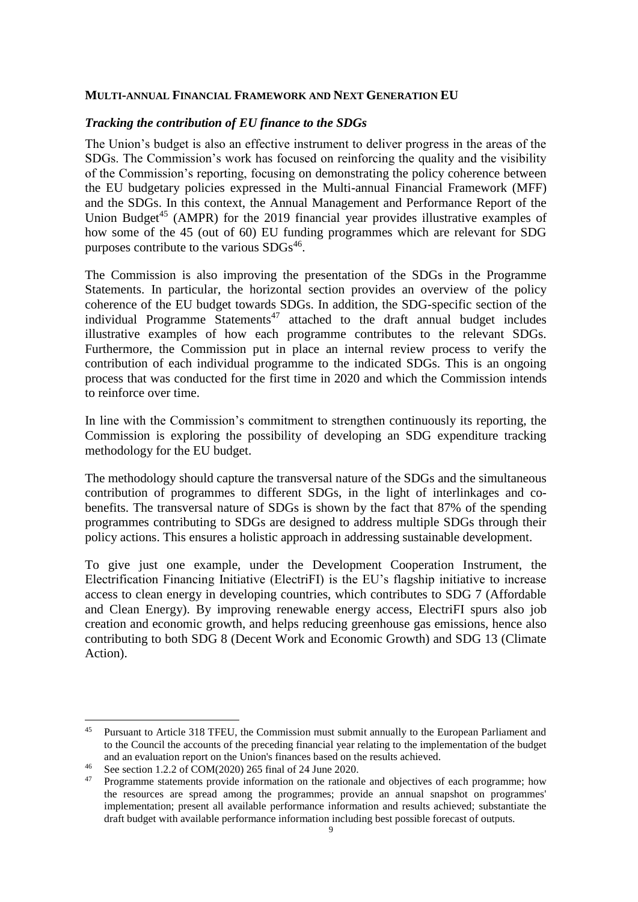### **MULTI-ANNUAL FINANCIAL FRAMEWORK AND NEXT GENERATION EU**

### *Tracking the contribution of EU finance to the SDGs*

The Union's budget is also an effective instrument to deliver progress in the areas of the SDGs. The Commission's work has focused on reinforcing the quality and the visibility of the Commission's reporting, focusing on demonstrating the policy coherence between the EU budgetary policies expressed in the Multi-annual Financial Framework (MFF) and the SDGs. In this context, the Annual Management and Performance Report of the Union Budget<sup>45</sup> (AMPR) for the 2019 financial year provides illustrative examples of how some of the 45 (out of 60) EU funding programmes which are relevant for SDG purposes contribute to the various  $SDGs^{46}$ .

The Commission is also improving the presentation of the SDGs in the Programme Statements. In particular, the horizontal section provides an overview of the policy coherence of the EU budget towards SDGs. In addition, the SDG-specific section of the individual Programme Statements<sup>47</sup> attached to the draft annual budget includes illustrative examples of how each programme contributes to the relevant SDGs. Furthermore, the Commission put in place an internal review process to verify the contribution of each individual programme to the indicated SDGs. This is an ongoing process that was conducted for the first time in 2020 and which the Commission intends to reinforce over time.

In line with the Commission's commitment to strengthen continuously its reporting, the Commission is exploring the possibility of developing an SDG expenditure tracking methodology for the EU budget.

The methodology should capture the transversal nature of the SDGs and the simultaneous contribution of programmes to different SDGs, in the light of interlinkages and cobenefits. The transversal nature of SDGs is shown by the fact that 87% of the spending programmes contributing to SDGs are designed to address multiple SDGs through their policy actions. This ensures a holistic approach in addressing sustainable development.

To give just one example, under the Development Cooperation Instrument, the Electrification Financing Initiative (ElectriFI) is the EU's flagship initiative to increase access to clean energy in developing countries, which contributes to SDG 7 (Affordable and Clean Energy). By improving renewable energy access, ElectriFI spurs also job creation and economic growth, and helps reducing greenhouse gas emissions, hence also contributing to both SDG 8 (Decent Work and Economic Growth) and SDG 13 (Climate Action).

 $\overline{a}$ <sup>45</sup> Pursuant to Article 318 TFEU, the Commission must submit annually to the European Parliament and to the Council the accounts of the preceding financial year relating to the implementation of the budget and an evaluation report on the Union's finances based on the results achieved.

<sup>&</sup>lt;sup>46</sup> See section 1.2.2 of COM(2020) 265 final of 24 June 2020.

<sup>47</sup> Programme statements provide information on the rationale and objectives of each programme; how the resources are spread among the programmes; provide an annual snapshot on programmes' implementation; present all available performance information and results achieved; substantiate the draft budget with available performance information including best possible forecast of outputs.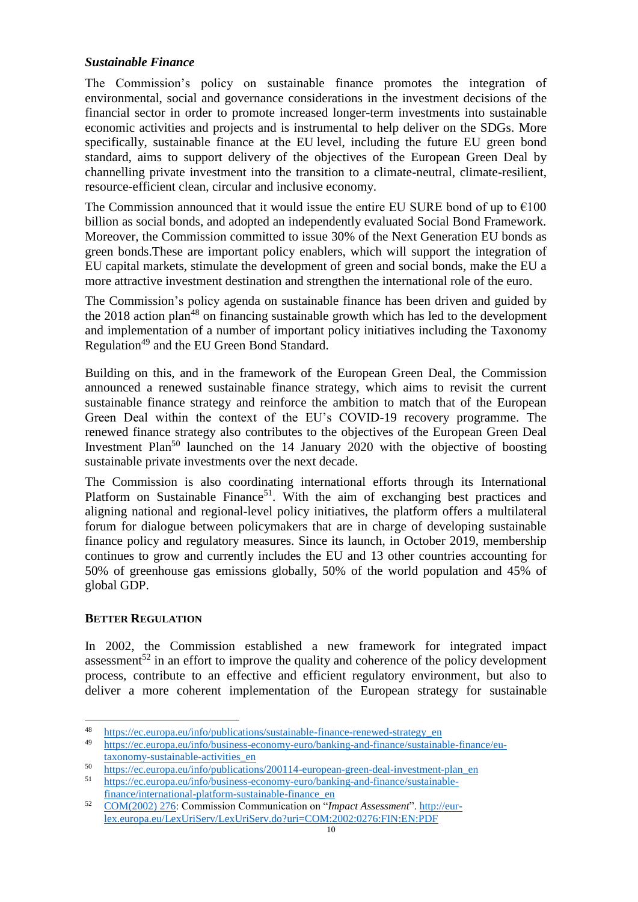# *Sustainable Finance*

The Commission's policy on sustainable finance promotes the integration of environmental, social and governance considerations in the investment decisions of the financial sector in order to promote increased longer-term investments into sustainable economic activities and projects and is instrumental to help deliver on the SDGs. More specifically, sustainable finance at the EU level, including the future EU green bond standard, aims to support delivery of the objectives of the [European Green Deal](https://ec.europa.eu/info/strategy/priorities-2019-2024/european-green-deal_fr) by channelling private investment into the transition to a climate-neutral, climate-resilient, resource-efficient clean, circular and inclusive economy.

The Commission announced that it would issue the entire EU SURE bond of up to  $€100$ billion as social bonds, and adopted an independently evaluated Social Bond Framework. Moreover, the Commission committed to issue 30% of the Next Generation EU bonds as green bonds.These are important policy enablers, which will support the integration of EU capital markets, stimulate the development of green and social bonds, make the EU a more attractive investment destination and strengthen the international role of the euro.

The Commission's policy agenda on sustainable finance has been driven and guided by the  $2018$  action plan<sup>48</sup> on financing sustainable growth which has led to the development and implementation of a number of important policy initiatives including the Taxonomy Regulation<sup>49</sup> and the EU Green Bond Standard.

Building on this, and in the framework of the European Green Deal, the Commission announced a renewed sustainable finance strategy, which aims to revisit the current sustainable finance strategy and reinforce the ambition to match that of the European Green Deal within the context of the EU's COVID-19 recovery programme. The renewed finance strategy also contributes to the objectives of the European Green Deal Investment Plan<sup>50</sup> launched on the 14 January 2020 with the objective of boosting sustainable private investments over the next decade.

The Commission is also coordinating international efforts through its International Platform on Sustainable Finance<sup>51</sup>. With the aim of exchanging best practices and aligning national and regional-level policy initiatives, the platform offers a multilateral forum for dialogue between policymakers that are in charge of developing sustainable finance policy and regulatory measures. Since its launch, in October 2019, membership continues to grow and currently includes the EU and 13 other countries accounting for 50% of greenhouse gas emissions globally, 50% of the world population and 45% of global GDP.

### **BETTER REGULATION**

 $\overline{a}$ 

In 2002, the Commission established a new framework for integrated impact assessment<sup>52</sup> in an effort to improve the quality and coherence of the policy development process, contribute to an effective and efficient regulatory environment, but also to deliver a more coherent implementation of the European strategy for sustainable

<sup>48</sup> [https://ec.europa.eu/info/publications/sustainable-finance-renewed-strategy\\_en](https://ec.europa.eu/info/publications/sustainable-finance-renewed-strategy_en)

<sup>49</sup> [https://ec.europa.eu/info/business-economy-euro/banking-and-finance/sustainable-finance/eu](https://ec.europa.eu/info/business-economy-euro/banking-and-finance/sustainable-finance/eu-taxonomy-sustainable-activities_en)[taxonomy-sustainable-activities\\_en](https://ec.europa.eu/info/business-economy-euro/banking-and-finance/sustainable-finance/eu-taxonomy-sustainable-activities_en)

<sup>&</sup>lt;sup>50</sup> [https://ec.europa.eu/info/publications/200114-european-green-deal-investment-plan\\_en](https://ec.europa.eu/info/publications/200114-european-green-deal-investment-plan_en)<br>
<sup>51</sup> https://ec.europe.ou/info/publications/200114-european-green-deal-investment-plan\_en

<sup>51</sup> [https://ec.europa.eu/info/business-economy-euro/banking-and-finance/sustainable](https://ec.europa.eu/info/business-economy-euro/banking-and-finance/sustainable-finance/international-platform-sustainable-finance_en)[finance/international-platform-sustainable-finance\\_en](https://ec.europa.eu/info/business-economy-euro/banking-and-finance/sustainable-finance/international-platform-sustainable-finance_en)

<sup>52</sup> [COM\(2002\) 276:](https://eur-lex.europa.eu/LexUriServ/LexUriServ.do?uri=COM:2002:0276:FIN:EN:PDF) Commission Communication on "*Impact Assessment*"[. http://eur](http://eur-lex.europa.eu/LexUriServ/LexUriServ.do?uri=COM:2002:0276:FIN:EN:PDF)[lex.europa.eu/LexUriServ/LexUriServ.do?uri=COM:2002:0276:FIN:EN:PDF](http://eur-lex.europa.eu/LexUriServ/LexUriServ.do?uri=COM:2002:0276:FIN:EN:PDF)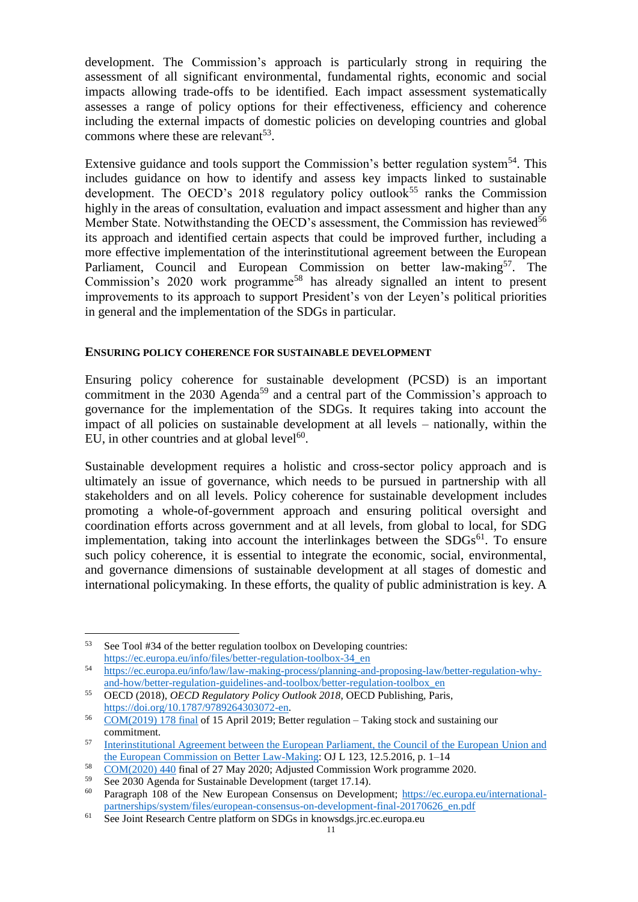development. The Commission's approach is particularly strong in requiring the assessment of all significant environmental, fundamental rights, economic and social impacts allowing trade-offs to be identified. Each impact assessment systematically assesses a range of policy options for their effectiveness, efficiency and coherence including the external impacts of domestic policies on developing countries and global commons where these are relevant<sup>53</sup>.

Extensive guidance and tools support the Commission's better regulation system<sup>54</sup>. This includes guidance on how to identify and assess key impacts linked to sustainable development. The OECD's 2018 regulatory policy outlook<sup>55</sup> ranks the Commission highly in the areas of consultation, evaluation and impact assessment and higher than any Member State. Notwithstanding the OECD's assessment, the Commission has reviewed<sup>56</sup> its approach and identified certain aspects that could be improved further, including a more effective implementation of the interinstitutional agreement between the European Parliament, Council and European Commission on better law-making<sup>57</sup>. The Commission's 2020 work programme<sup>58</sup> has already signalled an intent to present improvements to its approach to support President's von der Leyen's political priorities in general and the implementation of the SDGs in particular.

### **ENSURING POLICY COHERENCE FOR SUSTAINABLE DEVELOPMENT**

Ensuring policy coherence for sustainable development (PCSD) is an important commitment in the  $2030$  Agenda<sup>59</sup> and a central part of the Commission's approach to governance for the implementation of the SDGs. It requires taking into account the impact of all policies on sustainable development at all levels – nationally, within the EU, in other countries and at global level $60$ .

Sustainable development requires a holistic and cross-sector policy approach and is ultimately an issue of governance, which needs to be pursued in partnership with all stakeholders and on all levels. Policy coherence for sustainable development includes promoting a whole-of-government approach and ensuring political oversight and coordination efforts across government and at all levels, from global to local, for SDG implementation, taking into account the interlinkages between the  $SDGs<sup>61</sup>$ . To ensure such policy coherence, it is essential to integrate the economic, social, environmental, and governance dimensions of sustainable development at all stages of domestic and international policymaking. In these efforts, the quality of public administration is key. A

<sup>53</sup> See Tool #34 of the better regulation toolbox on Developing countries: [https://ec.europa.eu/info/files/better-regulation-toolbox-34\\_en](https://ec.europa.eu/info/files/better-regulation-toolbox-34_en)

<sup>54</sup> [https://ec.europa.eu/info/law/law-making-process/planning-and-proposing-law/better-regulation-why](https://ec.europa.eu/info/law/law-making-process/planning-and-proposing-law/better-regulation-why-and-how/better-regulation-guidelines-and-toolbox/better-regulation-toolbox_en)[and-how/better-regulation-guidelines-and-toolbox/better-regulation-toolbox\\_en](https://ec.europa.eu/info/law/law-making-process/planning-and-proposing-law/better-regulation-why-and-how/better-regulation-guidelines-and-toolbox/better-regulation-toolbox_en)

<sup>55</sup> OECD (2018), *OECD Regulatory Policy Outlook 2018*, OECD Publishing, Paris, [https://doi.org/10.1787/9789264303072-en.](https://doi.org/10.1787/9789264303072-en)

 $56$  [COM\(2019\) 178 final](https://ec.europa.eu/info/publications/better-regulation-taking-stock-and-sustaining-our-commitment_en) of 15 April 2019; Better regulation – Taking stock and sustaining our commitment.

<sup>57</sup> [Interinstitutional Agreement between the European Parliament, the Council of the European Union and](https://eur-lex.europa.eu/legal-content/en/TXT/?uri=CELEX:32016Q0512%2801%29)  [the European Commission on Better Law-Making:](https://eur-lex.europa.eu/legal-content/en/TXT/?uri=CELEX:32016Q0512%2801%29) OJ L 123, 12.5.2016, p. 1–14

 $58 \over 58 \over 59 \cdot 2020$  440 final of 27 May 2020; Adjusted Commission Work programme 2020.

<sup>&</sup>lt;sup>59</sup> See 2030 Agenda for Sustainable Development (target 17.14).<br><sup>60</sup> Paragraph 108 of the New European Consensus on Develop

Paragraph 108 of the New European Consensus on Development; [https://ec.europa.eu/international](https://ec.europa.eu/international-partnerships/system/files/european-consensus-on-development-final-20170626_en.pdf)[partnerships/system/files/european-consensus-on-development-final-20170626\\_en.pdf](https://ec.europa.eu/international-partnerships/system/files/european-consensus-on-development-final-20170626_en.pdf)

<sup>61</sup> See Joint Research Centre platform on SDGs in knowsdgs.jrc.ec.europa.eu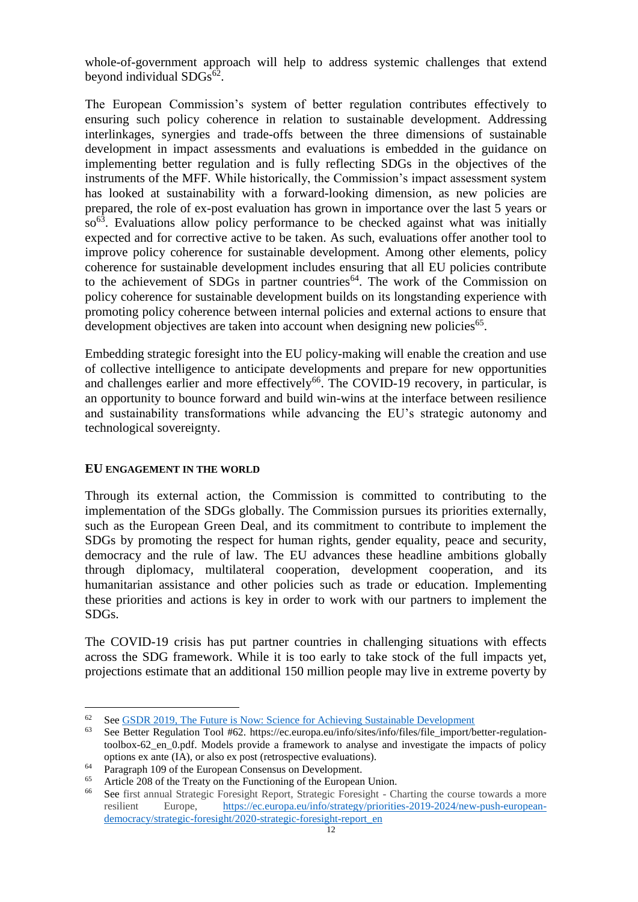whole-of-government approach will help to address systemic challenges that extend beyond individual SDGs<sup>62</sup>.

The European Commission's system of better regulation contributes effectively to ensuring such policy coherence in relation to sustainable development. Addressing interlinkages, synergies and trade-offs between the three dimensions of sustainable development in impact assessments and evaluations is embedded in the guidance on implementing better regulation and is fully reflecting SDGs in the objectives of the instruments of the MFF. While historically, the Commission's impact assessment system has looked at sustainability with a forward-looking dimension, as new policies are prepared, the role of ex-post evaluation has grown in importance over the last 5 years or so<sup>63</sup>. Evaluations allow policy performance to be checked against what was initially expected and for corrective active to be taken. As such, evaluations offer another tool to improve policy coherence for sustainable development. Among other elements, policy coherence for sustainable development includes ensuring that all EU policies contribute to the achievement of SDGs in partner countries<sup>64</sup>. The work of the Commission on policy coherence for sustainable development builds on its longstanding experience with promoting policy coherence between internal policies and external actions to ensure that development objectives are taken into account when designing new policies<sup>65</sup>.

Embedding strategic foresight into the EU policy-making will enable the creation and use of collective intelligence to anticipate developments and prepare for new opportunities and challenges earlier and more effectively<sup>66</sup>. The COVID-19 recovery, in particular, is an opportunity to bounce forward and build win-wins at the interface between resilience and sustainability transformations while advancing the EU's strategic autonomy and technological sovereignty.

### **EU ENGAGEMENT IN THE WORLD**

 $\overline{a}$ 

Through its external action, the Commission is committed to contributing to the implementation of the SDGs globally. The Commission pursues its priorities externally, such as the European Green Deal, and its commitment to contribute to implement the SDGs by promoting the respect for human rights, gender equality, peace and security, democracy and the rule of law. The EU advances these headline ambitions globally through diplomacy, multilateral cooperation, development cooperation, and its humanitarian assistance and other policies such as trade or education. Implementing these priorities and actions is key in order to work with our partners to implement the SDGs.

The COVID-19 crisis has put partner countries in challenging situations with effects across the SDG framework. While it is too early to take stock of the full impacts yet, projections estimate that an additional 150 million people may live in extreme poverty by

<sup>&</sup>lt;sup>62</sup> See <u>GSDR 2019, The Future is Now: Science for Achieving Sustainable Development</u><br><sup>63</sup> See Better Begulation Tool #62, https://ec.europa.eu/info/sites/info/files/file\_import/b

See Better Regulation Tool #62. https://ec.europa.eu/info/sites/info/files/file\_import/better-regulationtoolbox-62\_en\_0.pdf. Models provide a framework to analyse and investigate the impacts of policy options ex ante (IA), or also ex post (retrospective evaluations).

<sup>&</sup>lt;sup>64</sup> Paragraph 109 of the European Consensus on Development.<br> $\frac{65}{200}$  Article 209 of the Tractu on the European Constanting of the European

<sup>&</sup>lt;sup>65</sup> Article 208 of the Treaty on the Functioning of the European Union.<br><sup>66</sup> See first annual Strategic Foresight Report, Strategic Foresight - Cl

See first annual Strategic Foresight Report, Strategic Foresight - Charting the course towards a more resilient Europe, [https://ec.europa.eu/info/strategy/priorities-2019-2024/new-push-european](https://ec.europa.eu/info/strategy/priorities-2019-2024/new-push-european-democracy/strategic-foresight/2020-strategic-foresight-report_en)[democracy/strategic-foresight/2020-strategic-foresight-report\\_en](https://ec.europa.eu/info/strategy/priorities-2019-2024/new-push-european-democracy/strategic-foresight/2020-strategic-foresight-report_en)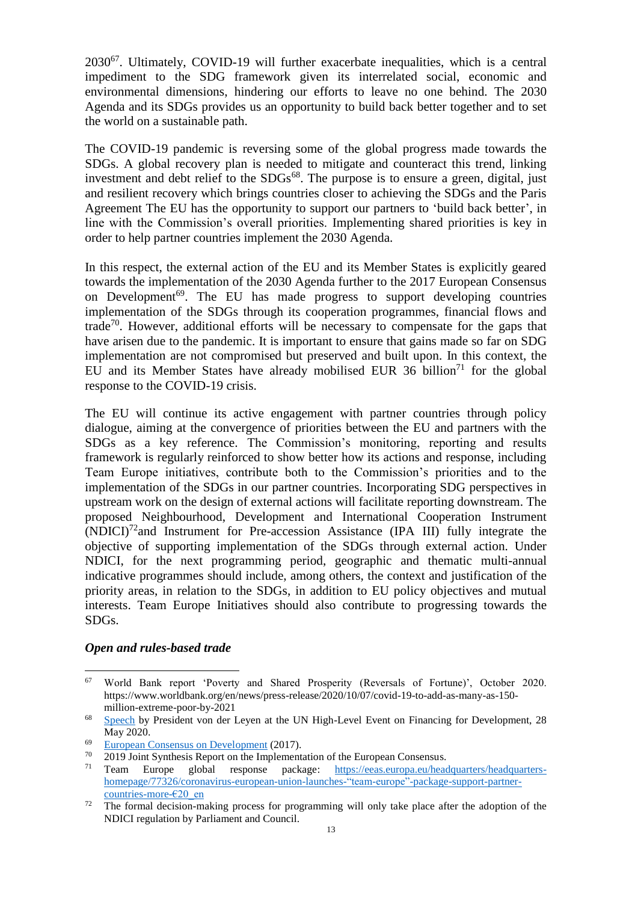2030<sup>67</sup>. Ultimately, COVID-19 will further exacerbate inequalities, which is a central impediment to the SDG framework given its interrelated social, economic and environmental dimensions, hindering our efforts to leave no one behind. The 2030 Agenda and its SDGs provides us an opportunity to build back better together and to set the world on a sustainable path.

The COVID-19 pandemic is reversing some of the global progress made towards the SDGs. A global recovery plan is needed to mitigate and counteract this trend, linking investment and debt relief to the  $SDGs^{68}$ . The purpose is to ensure a green, digital, just and resilient recovery which brings countries closer to achieving the SDGs and the Paris Agreement The EU has the opportunity to support our partners to 'build back better', in line with the Commission's overall priorities. Implementing shared priorities is key in order to help partner countries implement the 2030 Agenda.

In this respect, the external action of the EU and its Member States is explicitly geared towards the implementation of the 2030 Agenda further to the 2017 European Consensus on Development<sup>69</sup>. The EU has made progress to support developing countries implementation of the SDGs through its cooperation programmes, financial flows and trade<sup>70</sup>. However, additional efforts will be necessary to compensate for the gaps that have arisen due to the pandemic. It is important to ensure that gains made so far on SDG implementation are not compromised but preserved and built upon. In this context, the EU and its Member States have already mobilised EUR 36 billion<sup>71</sup> for the global response to the COVID-19 crisis.

The EU will continue its active engagement with partner countries through policy dialogue, aiming at the convergence of priorities between the EU and partners with the SDGs as a key reference. The Commission's monitoring, reporting and results framework is regularly reinforced to show better how its actions and response, including Team Europe initiatives, contribute both to the Commission's priorities and to the implementation of the SDGs in our partner countries. Incorporating SDG perspectives in upstream work on the design of external actions will facilitate reporting downstream. The proposed Neighbourhood, Development and International Cooperation Instrument  $(NDICI)^{72}$  and Instrument for Pre-accession Assistance (IPA III) fully integrate the objective of supporting implementation of the SDGs through external action. Under NDICI, for the next programming period, geographic and thematic multi-annual indicative programmes should include, among others, the context and justification of the priority areas, in relation to the SDGs, in addition to EU policy objectives and mutual interests. Team Europe Initiatives should also contribute to progressing towards the SDGs.

#### *Open and rules-based trade*

<sup>67</sup> World Bank report 'Poverty and Shared Prosperity (Reversals of Fortune)', October 2020. https://www.worldbank.org/en/news/press-release/2020/10/07/covid-19-to-add-as-many-as-150 million-extreme-poor-by-2021

<sup>&</sup>lt;sup>68</sup> [Speech](https://ec.europa.eu/commission/presscorner/detail/en/SPEECH_20_963) by President von der Leyen at the UN High-Level Event on Financing for Development, 28 May 2020.

 $\frac{69}{70}$  [European Consensus on Development](https://ec.europa.eu/international-partnerships/system/files/european-consensus-on-development-final-20170626_en.pdf) (2017).

 $\frac{70}{71}$  2019 Joint Synthesis Report on the Implementation of the European Consensus.<br>Team Europe global response package: https://eeas.europa.eu/head

<sup>71</sup> Team Europe global response package: [https://eeas.europa.eu/headquarters/headquarters](https://eeas.europa.eu/headquarters/headquarters-homepage/77326/coronavirus-european-union-launches-)[homepage/77326/coronavirus-european-union-launches-"team-europe"-package-support-partner](https://eeas.europa.eu/headquarters/headquarters-homepage/77326/coronavirus-european-union-launches-)[countries-more-€20\\_en](https://eeas.europa.eu/headquarters/headquarters-homepage/77326/coronavirus-european-union-launches-)

<sup>&</sup>lt;sup>72</sup> The formal decision-making process for programming will only take place after the adoption of the NDICI regulation by Parliament and Council.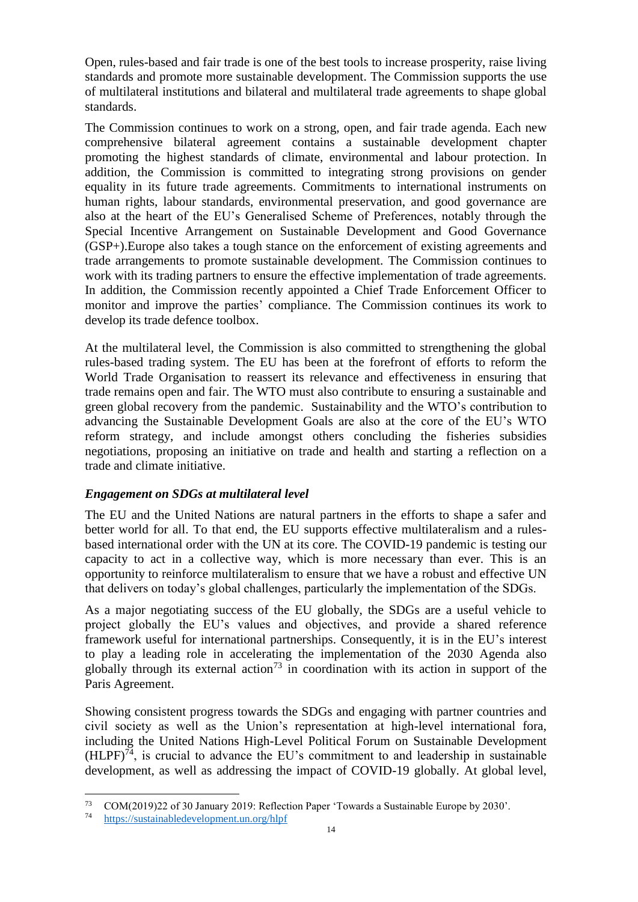Open, rules-based and fair trade is one of the best tools to increase prosperity, raise living standards and promote more sustainable development. The Commission supports the use of multilateral institutions and bilateral and multilateral trade agreements to shape global standards.

The Commission continues to work on a strong, open, and fair trade agenda. Each new comprehensive bilateral agreement contains a sustainable development chapter promoting the highest standards of climate, environmental and labour protection. In addition, the Commission is committed to integrating strong provisions on gender equality in its future trade agreements. Commitments to international instruments on human rights, labour standards, environmental preservation, and good governance are also at the heart of the EU's Generalised Scheme of Preferences, notably through the Special Incentive Arrangement on Sustainable Development and Good Governance (GSP+).Europe also takes a tough stance on the enforcement of existing agreements and trade arrangements to promote sustainable development. The Commission continues to work with its trading partners to ensure the effective implementation of trade agreements. In addition, the Commission recently appointed a Chief Trade Enforcement Officer to monitor and improve the parties' compliance. The Commission continues its work to develop its trade defence toolbox.

At the multilateral level, the Commission is also committed to strengthening the global rules-based trading system. The EU has been at the forefront of efforts to reform the World Trade Organisation to reassert its relevance and effectiveness in ensuring that trade remains open and fair. The WTO must also contribute to ensuring a sustainable and green global recovery from the pandemic. Sustainability and the WTO's contribution to advancing the Sustainable Development Goals are also at the core of the EU's WTO reform strategy, and include amongst others concluding the fisheries subsidies negotiations, proposing an initiative on trade and health and starting a reflection on a trade and climate initiative.

### *Engagement on SDGs at multilateral level*

The EU and the United Nations are natural partners in the efforts to shape a safer and better world for all. To that end, the EU supports effective multilateralism and a rulesbased international order with the UN at its core. The COVID-19 pandemic is testing our capacity to act in a collective way, which is more necessary than ever. This is an opportunity to reinforce multilateralism to ensure that we have a robust and effective UN that delivers on today's global challenges, particularly the implementation of the SDGs.

As a major negotiating success of the EU globally, the SDGs are a useful vehicle to project globally the EU's values and objectives, and provide a shared reference framework useful for international partnerships. Consequently, it is in the EU's interest to play a leading role in accelerating the implementation of the 2030 Agenda also globally through its external action<sup>73</sup> in coordination with its action in support of the Paris Agreement.

Showing consistent progress towards the SDGs and engaging with partner countries and civil society as well as the Union's representation at high-level international fora, including the United Nations High-Level Political Forum on Sustainable Development  $(HLPF)<sup>74</sup>$ , is crucial to advance the EU's commitment to and leadership in sustainable development, as well as addressing the impact of COVID-19 globally. At global level,

 $\overline{a}$ 73 COM(2019)22 of 30 January 2019: Reflection Paper 'Towards a Sustainable Europe by 2030'.

<sup>74</sup> <https://sustainabledevelopment.un.org/hlpf>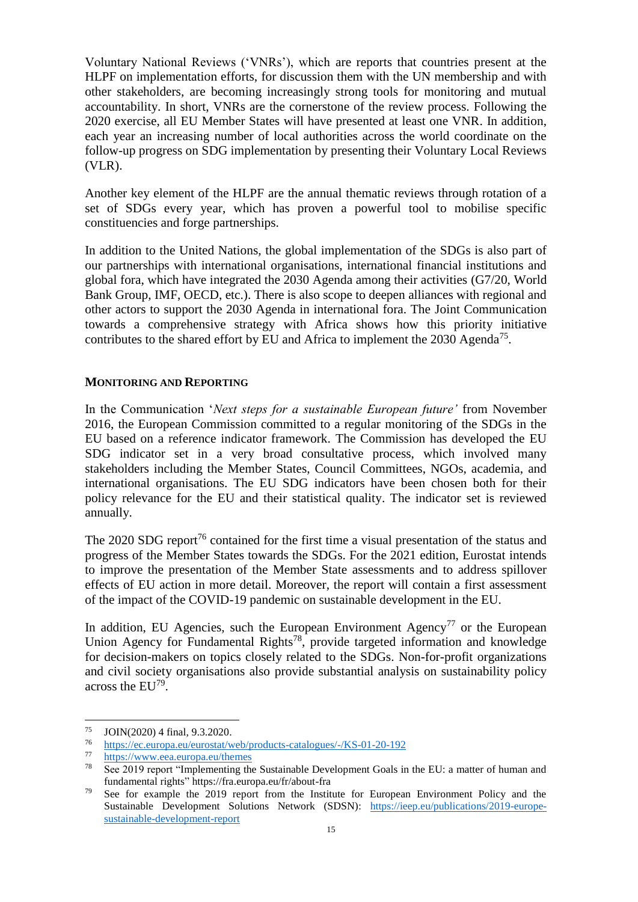Voluntary National Reviews ('VNRs'), which are reports that countries present at the HLPF on implementation efforts, for discussion them with the UN membership and with other stakeholders, are becoming increasingly strong tools for monitoring and mutual accountability. In short, VNRs are the cornerstone of the review process. Following the 2020 exercise, all EU Member States will have presented at least one VNR. In addition, each year an increasing number of local authorities across the world coordinate on the follow-up progress on SDG implementation by presenting their Voluntary Local Reviews (VLR).

Another key element of the HLPF are the annual thematic reviews through rotation of a set of SDGs every year, which has proven a powerful tool to mobilise specific constituencies and forge partnerships.

In addition to the United Nations, the global implementation of the SDGs is also part of our partnerships with international organisations, international financial institutions and global fora, which have integrated the 2030 Agenda among their activities (G7/20, World Bank Group, IMF, OECD, etc.). There is also scope to deepen alliances with regional and other actors to support the 2030 Agenda in international fora. The Joint Communication towards a comprehensive strategy with Africa shows how this priority initiative contributes to the shared effort by EU and Africa to implement the  $2030$  Agenda<sup>75</sup>.

#### **MONITORING AND REPORTING**

In the Communication '*Next steps for a sustainable European future'* from November 2016, the European Commission committed to a regular monitoring of the SDGs in the EU based on a reference indicator framework. The Commission has developed the EU SDG indicator set in a very broad consultative process, which involved many stakeholders including the Member States, Council Committees, NGOs, academia, and international organisations. The EU SDG indicators have been chosen both for their policy relevance for the EU and their statistical quality. The indicator set is reviewed annually.

The 2020 SDG report<sup>76</sup> contained for the first time a visual presentation of the status and progress of the Member States towards the SDGs. For the 2021 edition, Eurostat intends to improve the presentation of the Member State assessments and to address spillover effects of EU action in more detail. Moreover, the report will contain a first assessment of the impact of the COVID-19 pandemic on sustainable development in the EU.

In addition, EU Agencies, such the European Environment Agency<sup>77</sup> or the European Union Agency for Fundamental Rights<sup>78</sup>, provide targeted information and knowledge for decision-makers on topics closely related to the SDGs. Non-for-profit organizations and civil society organisations also provide substantial analysis on sustainability policy across the  $EU^{79}$ .

<sup>75</sup>  $\frac{75}{76}$  JOIN(2020) 4 final, 9.3.2020.

<sup>76</sup> <https://ec.europa.eu/eurostat/web/products-catalogues/-/KS-01-20-192>

 $\frac{77}{78}$  <https://www.eea.europa.eu/themes>

See 2019 report "Implementing the Sustainable Development Goals in the EU: a matter of human and fundamental rights"<https://fra.europa.eu/fr/about-fra>

<sup>&</sup>lt;sup>79</sup> See for example the  $2019$  report from the Institute for European Environment Policy and the Sustainable Development Solutions Network (SDSN): [https://ieep.eu/publications/2019-europe](https://ieep.eu/publications/2019-europe-sustainable-development-report)[sustainable-development-report](https://ieep.eu/publications/2019-europe-sustainable-development-report)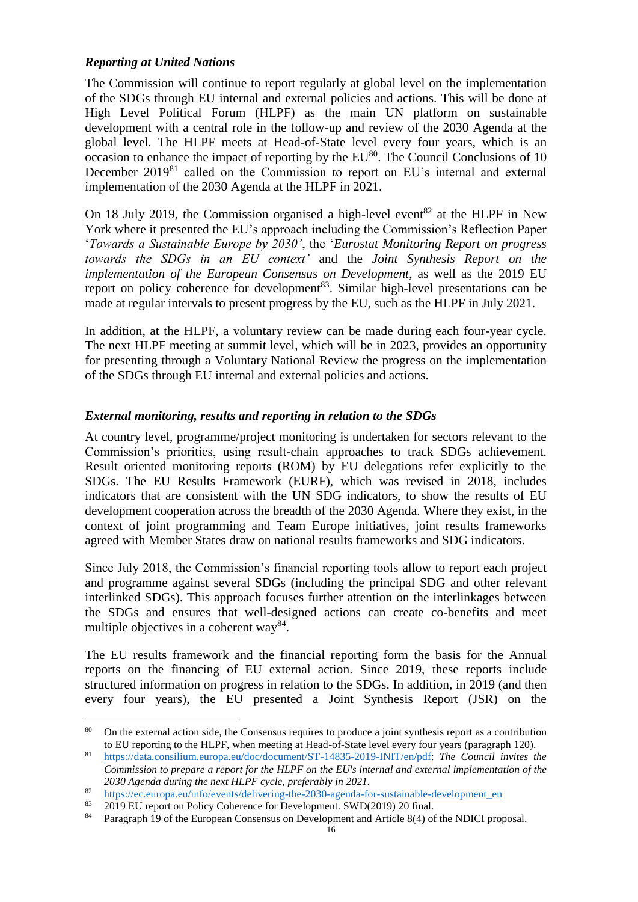## *Reporting at United Nations*

The Commission will continue to report regularly at global level on the implementation of the SDGs through EU internal and external policies and actions. This will be done at High Level Political Forum (HLPF) as the main UN platform on sustainable development with a central role in the follow-up and review of the 2030 Agenda at the global level. The HLPF meets at Head-of-State level every four years, which is an occasion to enhance the impact of reporting by the  $EU^{80}$ . The Council Conclusions of 10 December 2019<sup>81</sup> called on the Commission to report on EU's internal and external implementation of the 2030 Agenda at the HLPF in 2021.

On 18 July 2019, the Commission organised a high-level event<sup>82</sup> at the HLPF in New York where it presented the EU's approach including the Commission's Reflection Paper '*Towards a Sustainable Europe by 2030'*, the '*Eurostat Monitoring Report on progress towards the SDGs in an EU context'* and the *Joint Synthesis Report on the implementation of the European Consensus on Development*, as well as the 2019 EU report on policy coherence for development<sup>83</sup>. Similar high-level presentations can be made at regular intervals to present progress by the EU, such as the HLPF in July 2021.

In addition, at the HLPF, a voluntary review can be made during each four-year cycle. The next HLPF meeting at summit level, which will be in 2023, provides an opportunity for presenting through a Voluntary National Review the progress on the implementation of the SDGs through EU internal and external policies and actions.

# *External monitoring, results and reporting in relation to the SDGs*

At country level, programme/project monitoring is undertaken for sectors relevant to the Commission's priorities, using result-chain approaches to track SDGs achievement. Result oriented monitoring reports (ROM) by EU delegations refer explicitly to the SDGs. The EU Results Framework (EURF), which was revised in 2018, includes indicators that are consistent with the UN SDG indicators, to show the results of EU development cooperation across the breadth of the 2030 Agenda. Where they exist, in the context of joint programming and Team Europe initiatives, joint results frameworks agreed with Member States draw on national results frameworks and SDG indicators.

Since July 2018, the Commission's financial reporting tools allow to report each project and programme against several SDGs (including the principal SDG and other relevant interlinked SDGs). This approach focuses further attention on the interlinkages between the SDGs and ensures that well-designed actions can create co-benefits and meet multiple objectives in a coherent way  $84$ .

The EU results framework and the financial reporting form the basis for the Annual reports on the financing of EU external action. Since 2019, these reports include structured information on progress in relation to the SDGs. In addition, in 2019 (and then every four years), the EU presented a Joint Synthesis Report (JSR) on the

 $\overline{a}$ 80 On the external action side, the Consensus requires to produce a joint synthesis report as a contribution to EU reporting to the HLPF, when meeting at Head-of-State level every four years (paragraph 120).

<sup>81</sup> [https://data.consilium.europa.eu/doc/document/ST-14835-2019-INIT/en/pdf:](https://data.consilium.europa.eu/doc/document/ST-14835-2019-INIT/en/pdf) *The Council invites the Commission to prepare a report for the HLPF on the EU's internal and external implementation of the 2030 Agenda during the next HLPF cycle, preferably in 2021.* 

 $\frac{\text{https://ec.europa.eu/info/events/delivering-the-2030-agenda-for-sustainable-development en}}{\text{2019 EI report on Policy Coherence for Development SWD(2019) 20 final}}$ 

<sup>83</sup> 2019 EU report on Policy Coherence for Development. SWD(2019) 20 final.

<sup>84</sup> Paragraph 19 of the European Consensus on Development and Article 8(4) of the NDICI proposal.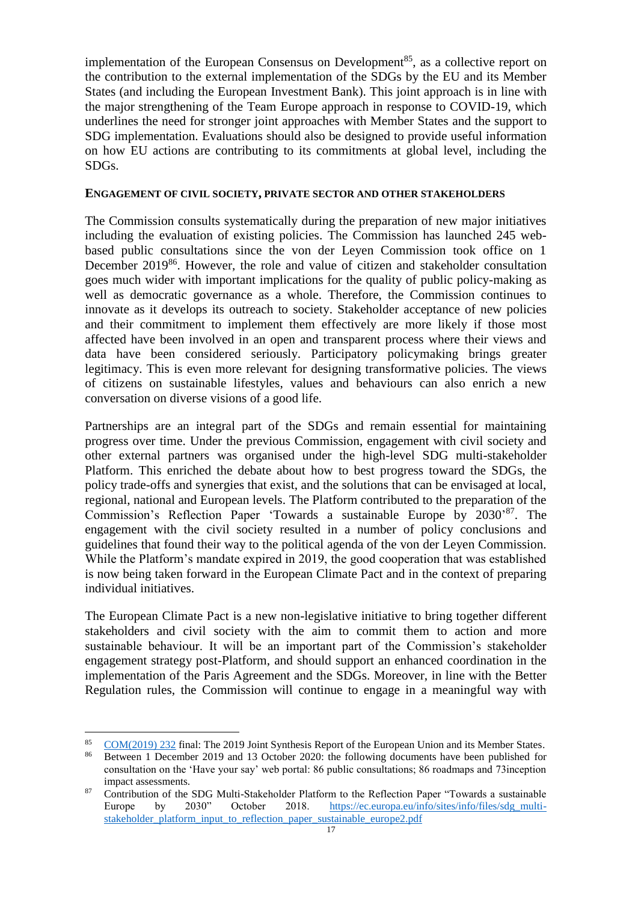implementation of the European Consensus on Development<sup>85</sup>, as a collective report on the contribution to the external implementation of the SDGs by the EU and its Member States (and including the European Investment Bank). This joint approach is in line with the major strengthening of the Team Europe approach in response to COVID-19, which underlines the need for stronger joint approaches with Member States and the support to SDG implementation. Evaluations should also be designed to provide useful information on how EU actions are contributing to its commitments at global level, including the SDGs.

### **ENGAGEMENT OF CIVIL SOCIETY, PRIVATE SECTOR AND OTHER STAKEHOLDERS**

The Commission consults systematically during the preparation of new major initiatives including the evaluation of existing policies. The Commission has launched 245 webbased public consultations since the von der Leyen Commission took office on 1 December 2019<sup>86</sup>. However, the role and value of citizen and stakeholder consultation goes much wider with important implications for the quality of public policy-making as well as democratic governance as a whole. Therefore, the Commission continues to innovate as it develops its outreach to society. Stakeholder acceptance of new policies and their commitment to implement them effectively are more likely if those most affected have been involved in an open and transparent process where their views and data have been considered seriously. Participatory policymaking brings greater legitimacy. This is even more relevant for designing transformative policies. The views of citizens on sustainable lifestyles, values and behaviours can also enrich a new conversation on diverse visions of a good life.

Partnerships are an integral part of the SDGs and remain essential for maintaining progress over time. Under the previous Commission, engagement with civil society and other external partners was organised under the high-level SDG multi-stakeholder Platform. This enriched the debate about how to best progress toward the SDGs, the policy trade-offs and synergies that exist, and the solutions that can be envisaged at local, regional, national and European levels. The Platform contributed to the preparation of the Commission's Reflection Paper 'Towards a sustainable Europe by 2030' <sup>87</sup>. The engagement with the civil society resulted in a number of policy conclusions and guidelines that found their way to the political agenda of the von der Leyen Commission. While the Platform's mandate expired in 2019, the good cooperation that was established is now being taken forward in the European Climate Pact and in the context of preparing individual initiatives.

The European Climate Pact is a new non-legislative initiative to bring together different stakeholders and civil society with the aim to commit them to action and more sustainable behaviour. It will be an important part of the Commission's stakeholder engagement strategy post-Platform, and should support an enhanced coordination in the implementation of the Paris Agreement and the SDGs. Moreover, in line with the Better Regulation rules, the Commission will continue to engage in a meaningful way with

<sup>85</sup> [COM\(2019\) 232](https://ec.europa.eu/transparency/regdoc/rep/1/2019/EN/COM-2019-232-F1-EN-MAIN-PART-1.PDF) final: The 2019 Joint Synthesis Report of the European Union and its Member States.

<sup>86</sup> Between 1 December 2019 and 13 October 2020: the following documents have been published for consultation on the 'Have your say' web portal: 86 public consultations; 86 roadmaps and 73inception impact assessments.

<sup>&</sup>lt;sup>87</sup> Contribution of the SDG Multi-Stakeholder Platform to the Reflection Paper "Towards a sustainable" Europe by 2030" October 2018. [https://ec.europa.eu/info/sites/info/files/sdg\\_multi](https://ec.europa.eu/info/sites/info/files/sdg_multi-stakeholder_platform_input_to_reflection_paper_sustainable_europe2.pdf)[stakeholder\\_platform\\_input\\_to\\_reflection\\_paper\\_sustainable\\_europe2.pdf](https://ec.europa.eu/info/sites/info/files/sdg_multi-stakeholder_platform_input_to_reflection_paper_sustainable_europe2.pdf)